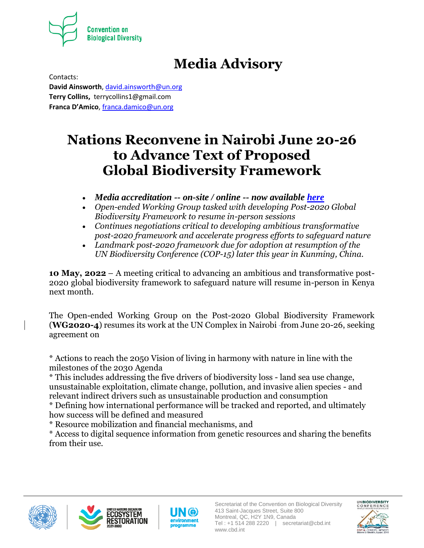

# **Media Advisory**

Contacts: **David Ainsworth**, [david.ainsworth@un.org](mailto:david.ainsworth@un.org) **Terry Collins,** terrycollins1@gmail.com **Franca D'Amico**[, franca.damico@un.org](mailto:franca.damico@un.org)

# **Nations Reconvene in Nairobi June 20-26 to Advance Text of Proposed Global Biodiversity Framework**

- *Media accreditation -- on-site / online -- now available [here](https://www.cbd.int/participation/wg2020-04/media/checklist)*
- *Open-ended Working Group tasked with developing Post-2020 Global Biodiversity Framework to resume in-person sessions*
- *Continues negotiations critical to developing ambitious transformative post-2020 framework and accelerate progress efforts to safeguard nature*
- *Landmark post-2020 framework due for adoption at resumption of the UN Biodiversity Conference (COP-15) later this year in Kunming, China.*

**10 May, 2022** – A meeting critical to advancing an ambitious and transformative post-2020 global biodiversity framework to safeguard nature will resume in-person in Kenya next month.

The Open-ended Working Group on the Post-2020 Global Biodiversity Framework **(WG2020-4)** resumes its work at the UN Complex in Nairobi-from June 20-26, seeking agreement on

\* Actions to reach the 2050 Vision of living in harmony with nature in line with the milestones of the 2030 Agenda

\* This includes addressing the five drivers of biodiversity loss - land sea use change, unsustainable exploitation, climate change, pollution, and invasive alien species - and relevant indirect drivers such as unsustainable production and consumption

\* Defining how international performance will be tracked and reported, and ultimately how success will be defined and measured

\* Resource mobilization and financial mechanisms, and

\* Access to digital sequence information from genetic resources and sharing the benefits from their use.







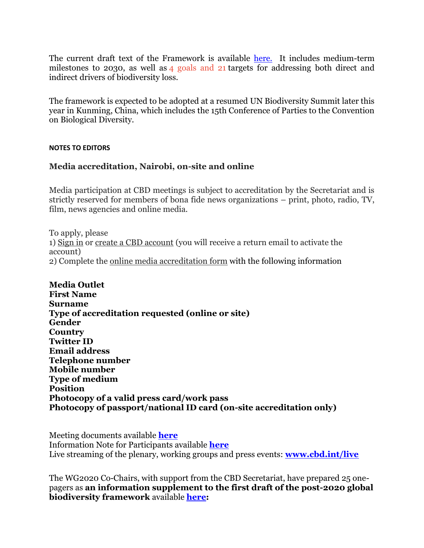The current draft text of the Framework is available [here.](https://www.cbd.int/doc/c/c949/b2cc/a311c0c411d3a81134e2c7f3/wg2020-03-l-02-en.pdf) It includes medium-term milestones to 2030, as well as 4 goals and 21 targets for addressing both direct and indirect drivers of biodiversity loss.

The framework is expected to be adopted at a resumed UN Biodiversity Summit later this year in Kunming, China, which includes the 15th Conference of Parties to the Convention on Biological Diversity.

#### **NOTES TO EDITORS**

### **Media accreditation, Nairobi, on-site and online**

Media participation at CBD meetings is subject to accreditation by the Secretariat and is strictly reserved for members of bona fide news organizations – print, photo, radio, TV, film, news agencies and online media.

To apply, please 1) [Sign in](https://accounts.cbd.int/signin) or [create a CBD account](https://accounts.cbd.int/signup) (you will receive a return email to activate the account) 2) Complete the [online media accreditation form](https://www.cbd.int/participation/geneva-2022/media) with the following information

**Media Outlet First Name Surname Type of accreditation requested (online or site) Gender Country Twitter ID Email address Telephone number Mobile number Type of medium Position Photocopy of a valid press card/work pass Photocopy of passport/national ID card (on-site accreditation only)**

Meeting documents available **[here](https://www.cbd.int/meetings/WG2020-04)** Information Note for Participants available **[here](https://www.cbd.int/doc/meetings/wg2020/wg2020-04/wg2020-04-info-note-en.pdf)** Live streaming of the plenary, working groups and press events: **[www.cbd.int/live](http://www.cbd.int/live)**

The WG2020 Co-Chairs, with support from the CBD Secretariat, have prepared 25 onepagers as **an information supplement to the first draft of the post-2020 global biodiversity framework** available **[here:](https://www.cbd.int/article/first-draft-global-biodiversity-framework-one-pagers)**